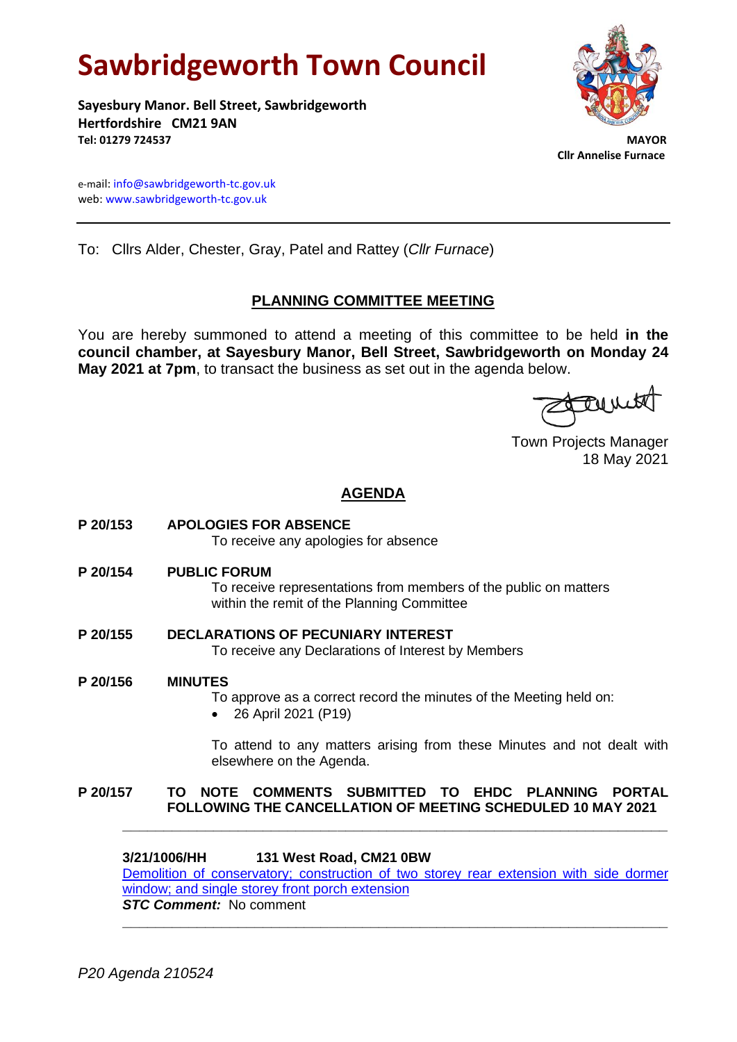# **Sawbridgeworth Town Council**

**Sayesbury Manor. Bell Street, Sawbridgeworth Hertfordshire CM21 9AN Tel: 01279 724537 MAYOR**

 **Cllr Annelise Furnace**

e-mail[: info@sawbridgeworth-tc.gov.uk](mailto:info@sawbridgeworth-tc.gov.uk) web: www.sawbridgeworth-tc.gov.uk

To: Cllrs Alder, Chester, Gray, Patel and Rattey (*Cllr Furnace*)

# **PLANNING COMMITTEE MEETING**

You are hereby summoned to attend a meeting of this committee to be held **in the council chamber, at Sayesbury Manor, Bell Street, Sawbridgeworth on Monday 24 May 2021 at 7pm**, to transact the business as set out in the agenda below.

Turit

Town Projects Manager 18 May 2021

# **AGENDA**

**P 20/153 APOLOGIES FOR ABSENCE**

To receive any apologies for absence

**P 20/154 PUBLIC FORUM**

To receive representations from members of the public on matters within the remit of the Planning Committee

- **P 20/155 DECLARATIONS OF PECUNIARY INTEREST** To receive any Declarations of Interest by Members
- **P 20/156 MINUTES** To approve as a correct record the minutes of the Meeting held on: • 26 April 2021 (P19)

To attend to any matters arising from these Minutes and not dealt with elsewhere on the Agenda.

# **P 20/157 TO NOTE COMMENTS SUBMITTED TO EHDC PLANNING PORTAL FOLLOWING THE CANCELLATION OF MEETING SCHEDULED 10 MAY 2021**

# **3/21/1006/HH 131 West Road, CM21 0BW**

Demolition [of conservatory; construction of two storey rear extension with side dormer](https://publicaccess.eastherts.gov.uk/online-applications/applicationDetails.do?activeTab=documents&keyVal=QRQZINGLM4W00)  [window; and single storey front porch extension](https://publicaccess.eastherts.gov.uk/online-applications/applicationDetails.do?activeTab=documents&keyVal=QRQZINGLM4W00) *STC Comment:* No comment

**\_\_\_\_\_\_\_\_\_\_\_\_\_\_\_\_\_\_\_\_\_\_\_\_\_\_\_\_\_\_\_\_\_\_\_\_\_\_\_\_\_\_\_\_\_\_\_\_\_\_\_\_\_\_\_\_\_\_\_\_\_\_\_\_\_\_**

**\_\_\_\_\_\_\_\_\_\_\_\_\_\_\_\_\_\_\_\_\_\_\_\_\_\_\_\_\_\_\_\_\_\_\_\_\_\_\_\_\_\_\_\_\_\_\_\_\_\_\_\_\_\_\_\_\_\_\_\_\_\_\_\_\_\_**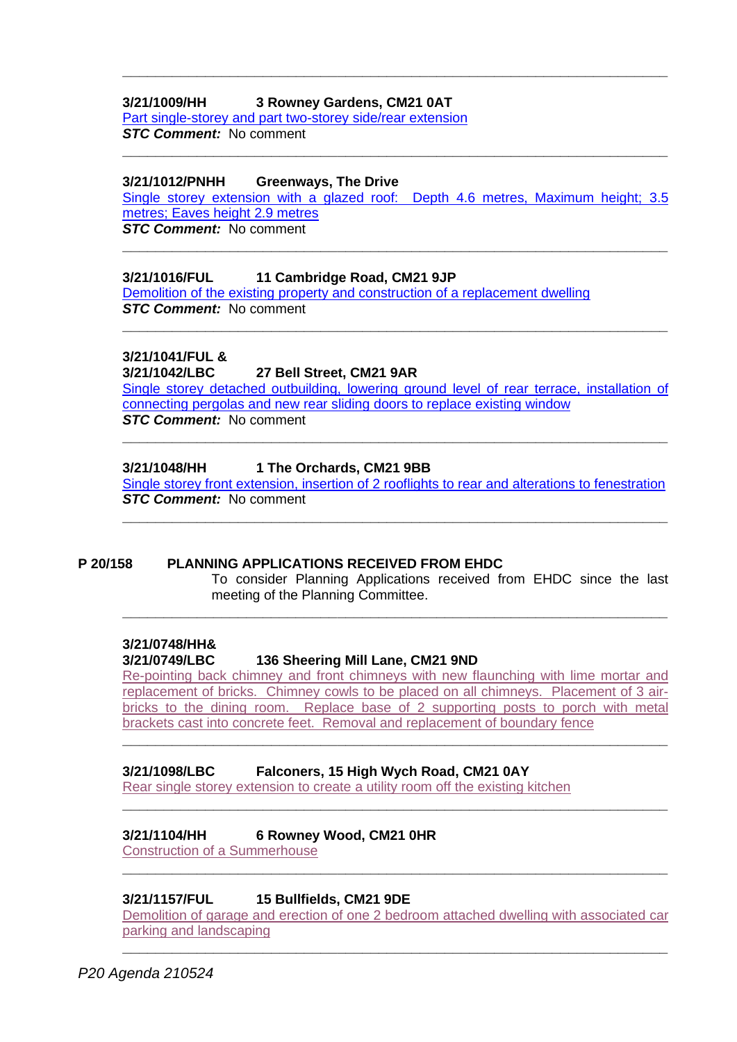# **3/21/1009/HH 3 Rowney Gardens, CM21 0AT**

[Part single-storey and part two-storey side/rear extension](https://publicaccess.eastherts.gov.uk/online-applications/applicationDetails.do?activeTab=documents&keyVal=QRSU7BGLM5500) *STC Comment:* No comment

#### **3/21/1012/PNHH Greenways, The Drive**

[Single storey extension with a glazed roof: Depth 4.6 metres, Maximum height; 3.5](https://publicaccess.eastherts.gov.uk/online-applications/applicationDetails.do?activeTab=documents&keyVal=QRT3V1GL00X00)  [metres; Eaves height 2.9 metres](https://publicaccess.eastherts.gov.uk/online-applications/applicationDetails.do?activeTab=documents&keyVal=QRT3V1GL00X00) *STC Comment:* No comment

**\_\_\_\_\_\_\_\_\_\_\_\_\_\_\_\_\_\_\_\_\_\_\_\_\_\_\_\_\_\_\_\_\_\_\_\_\_\_\_\_\_\_\_\_\_\_\_\_\_\_\_\_\_\_\_\_\_\_\_\_\_\_\_\_\_\_**

**\_\_\_\_\_\_\_\_\_\_\_\_\_\_\_\_\_\_\_\_\_\_\_\_\_\_\_\_\_\_\_\_\_\_\_\_\_\_\_\_\_\_\_\_\_\_\_\_\_\_\_\_\_\_\_\_\_\_\_\_\_\_\_\_\_\_**

**\_\_\_\_\_\_\_\_\_\_\_\_\_\_\_\_\_\_\_\_\_\_\_\_\_\_\_\_\_\_\_\_\_\_\_\_\_\_\_\_\_\_\_\_\_\_\_\_\_\_\_\_\_\_\_\_\_\_\_\_\_\_\_\_\_\_**

#### **3/21/1016/FUL 11 Cambridge Road, CM21 9JP**

[Demolition of the existing property and construction of a replacement](https://publicaccess.eastherts.gov.uk/online-applications/applicationDetails.do?activeTab=documents&keyVal=QRT5BYGLM5F00) dwelling *STC Comment:* No comment

# **3/21/1041/FUL &**

#### **3/21/1042/LBC 27 Bell Street, CM21 9AR**

[Single storey detached outbuilding, lowering ground level of rear terrace, installation of](https://publicaccess.eastherts.gov.uk/online-applications/applicationDetails.do?activeTab=documents&keyVal=QRWUN9GLM7S00)  [connecting pergolas and new rear sliding doors to replace existing window](https://publicaccess.eastherts.gov.uk/online-applications/applicationDetails.do?activeTab=documents&keyVal=QRWUN9GLM7S00) *STC Comment:* No comment

**\_\_\_\_\_\_\_\_\_\_\_\_\_\_\_\_\_\_\_\_\_\_\_\_\_\_\_\_\_\_\_\_\_\_\_\_\_\_\_\_\_\_\_\_\_\_\_\_\_\_\_\_\_\_\_\_\_\_\_\_\_\_\_\_\_\_**

**\_\_\_\_\_\_\_\_\_\_\_\_\_\_\_\_\_\_\_\_\_\_\_\_\_\_\_\_\_\_\_\_\_\_\_\_\_\_\_\_\_\_\_\_\_\_\_\_\_\_\_\_\_\_\_\_\_\_\_\_\_\_\_\_\_\_**

#### **3/21/1048/HH 1 The Orchards, CM21 9BB**

Single storey front extension, insertion of 2 [rooflights to rear and alterations to fenestration](https://publicaccess.eastherts.gov.uk/online-applications/applicationDetails.do?activeTab=documents&keyVal=QRX5TQGLM8B00) *STC Comment:* No comment **\_\_\_\_\_\_\_\_\_\_\_\_\_\_\_\_\_\_\_\_\_\_\_\_\_\_\_\_\_\_\_\_\_\_\_\_\_\_\_\_\_\_\_\_\_\_\_\_\_\_\_\_\_\_\_\_\_\_\_\_\_\_\_\_\_\_**

# **P 20/158 PLANNING APPLICATIONS RECEIVED FROM EHDC**

To consider Planning Applications received from EHDC since the last meeting of the Planning Committee.

# **3/21/0748/HH&**

#### **3/21/0749/LBC 136 Sheering Mill Lane, CM21 9ND**

[Re-pointing back chimney and front chimneys with new flaunching with lime mortar and](https://publicaccess.eastherts.gov.uk/online-applications/applicationDetails.do?activeTab=documents&keyVal=QQDOLFGLLN700)  [replacement of bricks. Chimney cowls to be placed on all chimneys. Placement of 3 air](https://publicaccess.eastherts.gov.uk/online-applications/applicationDetails.do?activeTab=documents&keyVal=QQDOLFGLLN700)[bricks to the dining room. Replace base of 2 supporting posts to porch with metal](https://publicaccess.eastherts.gov.uk/online-applications/applicationDetails.do?activeTab=documents&keyVal=QQDOLFGLLN700)  [brackets cast into concrete feet. Removal and replacement of boundary fence](https://publicaccess.eastherts.gov.uk/online-applications/applicationDetails.do?activeTab=documents&keyVal=QQDOLFGLLN700)

**\_\_\_\_\_\_\_\_\_\_\_\_\_\_\_\_\_\_\_\_\_\_\_\_\_\_\_\_\_\_\_\_\_\_\_\_\_\_\_\_\_\_\_\_\_\_\_\_\_\_\_\_\_\_\_\_\_\_\_\_\_\_\_\_\_\_**

**\_\_\_\_\_\_\_\_\_\_\_\_\_\_\_\_\_\_\_\_\_\_\_\_\_\_\_\_\_\_\_\_\_\_\_\_\_\_\_\_\_\_\_\_\_\_\_\_\_\_\_\_\_\_\_\_\_\_\_\_\_\_\_\_\_\_**

**\_\_\_\_\_\_\_\_\_\_\_\_\_\_\_\_\_\_\_\_\_\_\_\_\_\_\_\_\_\_\_\_\_\_\_\_\_\_\_\_\_\_\_\_\_\_\_\_\_\_\_\_\_\_\_\_\_\_\_\_\_\_\_\_\_\_**

**\_\_\_\_\_\_\_\_\_\_\_\_\_\_\_\_\_\_\_\_\_\_\_\_\_\_\_\_\_\_\_\_\_\_\_\_\_\_\_\_\_\_\_\_\_\_\_\_\_\_\_\_\_\_\_\_\_\_\_\_\_\_\_\_\_\_**

#### **3/21/1098/LBC Falconers, 15 High Wych Road, CM21 0AY**

[Rear single storey extension to create](https://publicaccess.eastherts.gov.uk/online-applications/applicationDetails.do?activeTab=documents&keyVal=QS7YNQGLMC600) a utility room off the existing kitchen

#### **3/21/1104/HH 6 Rowney Wood, CM21 0HR**

[Construction of a Summerhouse](https://publicaccess.eastherts.gov.uk/online-applications/applicationDetails.do?activeTab=documents&keyVal=QS89XDGLMCO00)

# **3/21/1157/FUL 15 Bullfields, CM21 9DE**

[Demolition of garage and erection of one 2 bedroom attached dwelling with associated car](https://publicaccess.eastherts.gov.uk/online-applications/applicationDetails.do?activeTab=documents&keyVal=QSIRHRGLMFY00)  [parking and landscaping](https://publicaccess.eastherts.gov.uk/online-applications/applicationDetails.do?activeTab=documents&keyVal=QSIRHRGLMFY00)

**\_\_\_\_\_\_\_\_\_\_\_\_\_\_\_\_\_\_\_\_\_\_\_\_\_\_\_\_\_\_\_\_\_\_\_\_\_\_\_\_\_\_\_\_\_\_\_\_\_\_\_\_\_\_\_\_\_\_\_\_\_\_\_\_\_\_**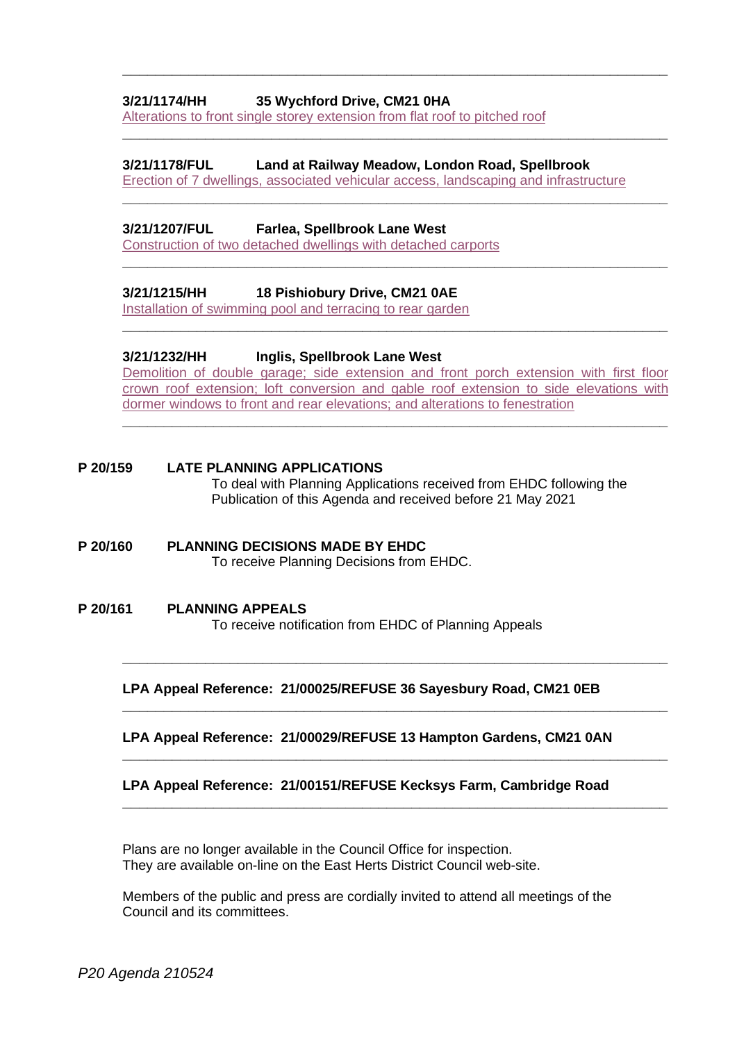#### **3/21/1174/HH 35 Wychford Drive, CM21 0HA**

[Alterations to front single storey extension from flat roof to pitched roof](https://publicaccess.eastherts.gov.uk/online-applications/applicationDetails.do?activeTab=documents&keyVal=QSL8J0GLMH100)

#### **3/21/1178/FUL Land at Railway Meadow, London Road, Spellbrook**

[Erection of 7 dwellings, associated vehicular access, landscaping and infrastructure](https://publicaccess.eastherts.gov.uk/online-applications/applicationDetails.do?activeTab=documents&keyVal=QSMGY0GLMHA00)

**\_\_\_\_\_\_\_\_\_\_\_\_\_\_\_\_\_\_\_\_\_\_\_\_\_\_\_\_\_\_\_\_\_\_\_\_\_\_\_\_\_\_\_\_\_\_\_\_\_\_\_\_\_\_\_\_\_\_\_\_\_\_\_\_\_\_**

**\_\_\_\_\_\_\_\_\_\_\_\_\_\_\_\_\_\_\_\_\_\_\_\_\_\_\_\_\_\_\_\_\_\_\_\_\_\_\_\_\_\_\_\_\_\_\_\_\_\_\_\_\_\_\_\_\_\_\_\_\_\_\_\_\_\_**

**\_\_\_\_\_\_\_\_\_\_\_\_\_\_\_\_\_\_\_\_\_\_\_\_\_\_\_\_\_\_\_\_\_\_\_\_\_\_\_\_\_\_\_\_\_\_\_\_\_\_\_\_\_\_\_\_\_\_\_\_\_\_\_\_\_\_**

**\_\_\_\_\_\_\_\_\_\_\_\_\_\_\_\_\_\_\_\_\_\_\_\_\_\_\_\_\_\_\_\_\_\_\_\_\_\_\_\_\_\_\_\_\_\_\_\_\_\_\_\_\_\_\_\_\_\_\_\_\_\_\_\_\_\_**

**\_\_\_\_\_\_\_\_\_\_\_\_\_\_\_\_\_\_\_\_\_\_\_\_\_\_\_\_\_\_\_\_\_\_\_\_\_\_\_\_\_\_\_\_\_\_\_\_\_\_\_\_\_\_\_\_\_\_\_\_\_\_\_\_\_\_**

#### **3/21/1207/FUL Farlea, Spellbrook Lane West**

[Construction of two detached dwellings with detached carports](https://publicaccess.eastherts.gov.uk/online-applications/applicationDetails.do?activeTab=documents&keyVal=QSOMN0GLMJ500)

#### **3/21/1215/HH 18 Pishiobury Drive, CM21 0AE**

[Installation of swimming pool and terracing to rear garden](https://publicaccess.eastherts.gov.uk/online-applications/applicationDetails.do?activeTab=documents&keyVal=QSQ68PGLMJJ00)

#### **3/21/1232/HH Inglis, Spellbrook Lane West**

[Demolition of double garage; side extension and front porch extension with first](https://publicaccess.eastherts.gov.uk/online-applications/applicationDetails.do?activeTab=documents&keyVal=QSS0Y3GLMKT00) floor [crown roof extension; loft conversion and gable roof extension to side](https://publicaccess.eastherts.gov.uk/online-applications/applicationDetails.do?activeTab=documents&keyVal=QSS0Y3GLMKT00) elevations with [dormer windows to front and rear elevations; and alterations to fenestration](https://publicaccess.eastherts.gov.uk/online-applications/applicationDetails.do?activeTab=documents&keyVal=QSS0Y3GLMKT00)

**\_\_\_\_\_\_\_\_\_\_\_\_\_\_\_\_\_\_\_\_\_\_\_\_\_\_\_\_\_\_\_\_\_\_\_\_\_\_\_\_\_\_\_\_\_\_\_\_\_\_\_\_\_\_\_\_\_\_\_\_\_\_\_\_\_\_**

# **P 20/159 LATE PLANNING APPLICATIONS** To deal with Planning Applications received from EHDC following the Publication of this Agenda and received before 21 May 2021

#### **P 20/160 PLANNING DECISIONS MADE BY EHDC** To receive Planning Decisions from EHDC.

#### **P 20/161 PLANNING APPEALS** To receive notification from EHDC of Planning Appeals

**LPA Appeal Reference: 21/00025/REFUSE 36 Sayesbury Road, CM21 0EB**

**\_\_\_\_\_\_\_\_\_\_\_\_\_\_\_\_\_\_\_\_\_\_\_\_\_\_\_\_\_\_\_\_\_\_\_\_\_\_\_\_\_\_\_\_\_\_\_\_\_\_\_\_\_\_\_\_\_\_\_\_\_\_\_\_\_\_**

**\_\_\_\_\_\_\_\_\_\_\_\_\_\_\_\_\_\_\_\_\_\_\_\_\_\_\_\_\_\_\_\_\_\_\_\_\_\_\_\_\_\_\_\_\_\_\_\_\_\_\_\_\_\_\_\_\_\_\_\_\_\_\_\_\_\_**

**\_\_\_\_\_\_\_\_\_\_\_\_\_\_\_\_\_\_\_\_\_\_\_\_\_\_\_\_\_\_\_\_\_\_\_\_\_\_\_\_\_\_\_\_\_\_\_\_\_\_\_\_\_\_\_\_\_\_\_\_\_\_\_\_\_\_**

**\_\_\_\_\_\_\_\_\_\_\_\_\_\_\_\_\_\_\_\_\_\_\_\_\_\_\_\_\_\_\_\_\_\_\_\_\_\_\_\_\_\_\_\_\_\_\_\_\_\_\_\_\_\_\_\_\_\_\_\_\_\_\_\_\_\_**

#### **LPA Appeal Reference: 21/00029/REFUSE 13 Hampton Gardens, CM21 0AN**

#### **LPA Appeal Reference: 21/00151/REFUSE Kecksys Farm, Cambridge Road**

Plans are no longer available in the Council Office for inspection. They are available on-line on the East Herts District Council web-site.

Members of the public and press are cordially invited to attend all meetings of the Council and its committees.